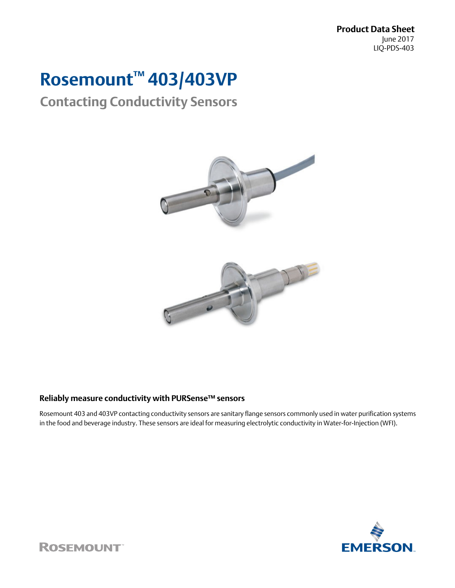**Product Data Sheet** June 2017 LIQ-PDS-403

# **Rosemount™ 403/403VP**

## **Contacting Conductivity Sensors**



## **Reliably measure conductivity with PURSense™ sensors**

Rosemount 403 and 403VP contacting conductivity sensors are sanitary flange sensors commonly used in water purification systems in the food and beverage industry. These sensors are ideal for measuring electrolytic conductivity in Water-for-Injection (WFI).



**ROSEMOUNT**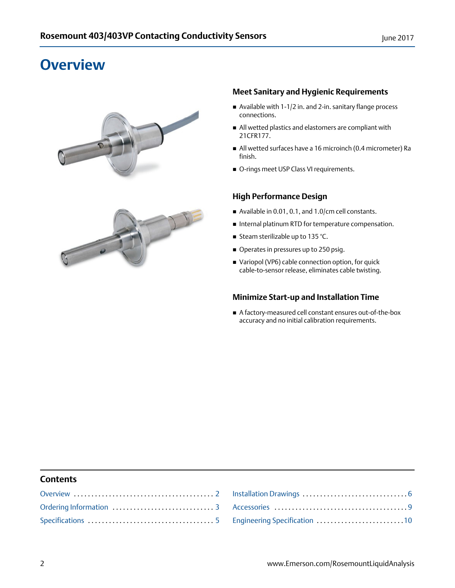## <span id="page-1-0"></span>**Overview**





## **Meet Sanitary and Hygienic Requirements**

- Available with 1-1/2 in. and 2-in. sanitary flange process connections.
- All wetted plastics and elastomers are compliant with 21CFR177.
- All wetted surfaces have a 16 microinch (0.4 micrometer) Ra finish.
- O-rings meet USP Class VI requirements.

## **High Performance Design**

- Available in 0.01, 0.1, and 1.0/cm cell constants.
- Internal platinum RTD for temperature compensation.
- Steam sterilizable up to 135 °C.
- Operates in pressures up to 250 psig.
- Variopol (VP6) cable connection option, for quick cable-to-sensor release, eliminates cable twisting.

## **Minimize Start-up and Installation Time**

 A factory-measured cell constant ensures out-of-the-box accuracy and no initial calibration requirements.

## **Contents**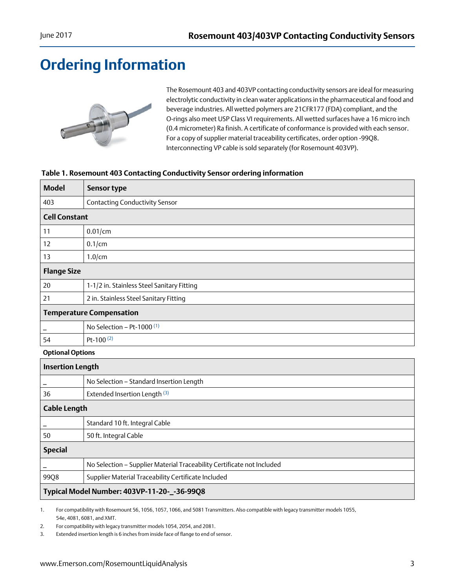## <span id="page-2-0"></span>**Ordering Information**



The Rosemount 403 and 403VP contacting conductivity sensors are ideal for measuring electrolytic conductivity in clean water applications in the pharmaceutical and food and beverage industries. All wetted polymers are 21CFR177 (FDA) compliant, and the O-rings also meet USP Class VI requirements. All wetted surfaces have a 16 micro inch (0.4 micrometer) Ra finish. A certificate of conformance is provided with each sensor. For a copy of supplier material traceability certificates, order option -99Q8. Interconnecting VP cable is sold separately (for Rosemount 403VP).

## **Table 1. Rosemount 403 Contacting Conductivity Sensor ordering information**

| <b>Model</b>            | <b>Sensor type</b>                                                     |  |  |  |
|-------------------------|------------------------------------------------------------------------|--|--|--|
| 403                     | <b>Contacting Conductivity Sensor</b>                                  |  |  |  |
| <b>Cell Constant</b>    |                                                                        |  |  |  |
| 11                      | $0.01$ /cm                                                             |  |  |  |
| 12                      | $0.1$ /cm                                                              |  |  |  |
| 13                      | $1.0$ /cm                                                              |  |  |  |
| <b>Flange Size</b>      |                                                                        |  |  |  |
| 20                      | 1-1/2 in. Stainless Steel Sanitary Fitting                             |  |  |  |
| 21                      | 2 in. Stainless Steel Sanitary Fitting                                 |  |  |  |
|                         | <b>Temperature Compensation</b>                                        |  |  |  |
|                         | No Selection - Pt-1000 $(1)$                                           |  |  |  |
| 54                      | Pt-100 $(2)$                                                           |  |  |  |
|                         | <b>Optional Options</b>                                                |  |  |  |
| <b>Insertion Length</b> |                                                                        |  |  |  |
|                         | No Selection - Standard Insertion Length                               |  |  |  |
| 36                      | Extended Insertion Length <sup>(3)</sup>                               |  |  |  |
| <b>Cable Length</b>     |                                                                        |  |  |  |
|                         | Standard 10 ft. Integral Cable                                         |  |  |  |
| 50                      | 50 ft. Integral Cable                                                  |  |  |  |
| <b>Special</b>          |                                                                        |  |  |  |
|                         | No Selection - Supplier Material Traceability Certificate not Included |  |  |  |
| 99Q8                    | Supplier Material Traceability Certificate Included                    |  |  |  |
|                         | Typical Model Number: 403VP-11-20-_-36-99Q8                            |  |  |  |

1. For compatibility with Rosemount 56, 1056, 1057, 1066, and 5081 Transmitters. Also compatible with legacy transmitter models 1055, 54e, 4081, 6081, and XMT.

2. For compatibility with legacy transmitter models 1054, 2054, and 2081.

3. Extended insertion length is 6 inches from inside face of flange to end of sensor.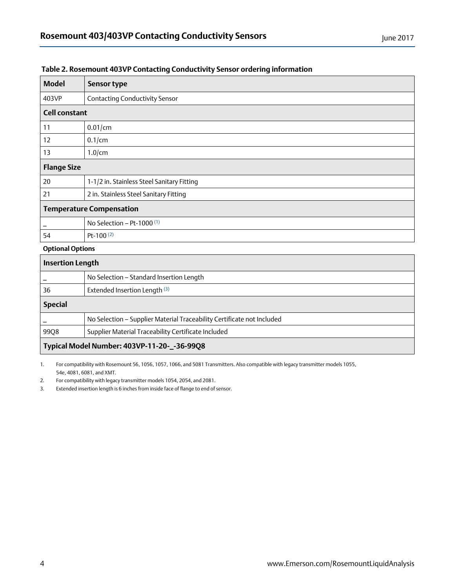| <b>Model</b>         | <b>Sensor type</b>                         |
|----------------------|--------------------------------------------|
| 403VP                | <b>Contacting Conductivity Sensor</b>      |
| <b>Cell constant</b> |                                            |
| 11                   | $0.01$ /cm                                 |
| 12                   | $0.1$ /cm                                  |
| 13                   | $1.0$ cm                                   |
| <b>Flange Size</b>   |                                            |
| 20                   | 1-1/2 in. Stainless Steel Sanitary Fitting |
| 21                   | 2 in. Stainless Steel Sanitary Fitting     |
|                      | <b>Temperature Compensation</b>            |
|                      | No Selection - Pt-1000 <sup>(1)</sup>      |
| 54                   | Pt-100 $(2)$                               |

## **Table 2. Rosemount 403VP Contacting Conductivity Sensor ordering information**

### **Optional Options**

| <b>Insertion Length</b>                     |                                                                        |  |
|---------------------------------------------|------------------------------------------------------------------------|--|
|                                             | No Selection - Standard Insertion Length                               |  |
| 36                                          | Extended Insertion Length (3)                                          |  |
| <b>Special</b>                              |                                                                        |  |
|                                             | No Selection - Supplier Material Traceability Certificate not Included |  |
| 99Q8                                        | Supplier Material Traceability Certificate Included                    |  |
| Typical Model Number: 403VP-11-20-_-36-99Q8 |                                                                        |  |

1. For compatibility with Rosemount 56, 1056, 1057, 1066, and 5081 Transmitters. Also compatible with legacy transmitter models 1055, 54e, 4081, 6081, and XMT.

2. For compatibility with legacy transmitter models 1054, 2054, and 2081.

3. Extended insertion length is 6 inches from inside face of flange to end of sensor.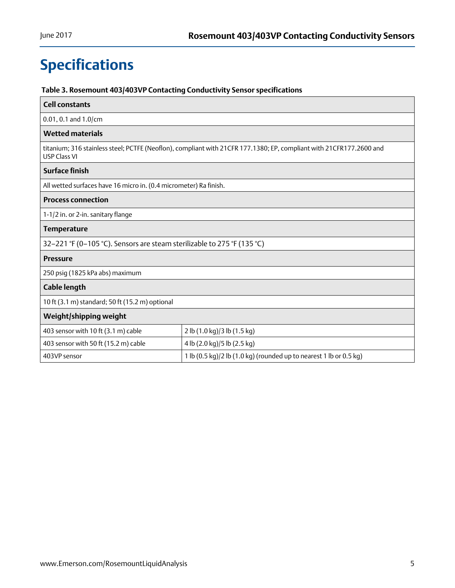## <span id="page-4-0"></span>**Specifications**

## **Table 3. Rosemount 403/403VP Contacting Conductivity Sensor specifications**

| <b>Cell constants</b>                                                                                                                      |                                                                    |  |  |
|--------------------------------------------------------------------------------------------------------------------------------------------|--------------------------------------------------------------------|--|--|
| $0.01, 0.1$ and $1.0$ /cm                                                                                                                  |                                                                    |  |  |
| <b>Wetted materials</b>                                                                                                                    |                                                                    |  |  |
| titanium; 316 stainless steel; PCTFE (Neoflon), compliant with 21CFR 177.1380; EP, compliant with 21CFR177.2600 and<br><b>USP Class VI</b> |                                                                    |  |  |
| <b>Surface finish</b>                                                                                                                      |                                                                    |  |  |
| All wetted surfaces have 16 micro in. (0.4 micrometer) Ra finish.                                                                          |                                                                    |  |  |
| <b>Process connection</b>                                                                                                                  |                                                                    |  |  |
| 1-1/2 in. or 2-in. sanitary flange                                                                                                         |                                                                    |  |  |
| <b>Temperature</b>                                                                                                                         |                                                                    |  |  |
| 32-221 °F (0-105 °C). Sensors are steam sterilizable to 275 °F (135 °C)                                                                    |                                                                    |  |  |
| <b>Pressure</b>                                                                                                                            |                                                                    |  |  |
| 250 psig (1825 kPa abs) maximum                                                                                                            |                                                                    |  |  |
| <b>Cable length</b>                                                                                                                        |                                                                    |  |  |
| 10 ft (3.1 m) standard; 50 ft (15.2 m) optional                                                                                            |                                                                    |  |  |
| Weight/shipping weight                                                                                                                     |                                                                    |  |  |
| 403 sensor with 10 ft (3.1 m) cable                                                                                                        | 2 lb (1.0 kg)/3 lb (1.5 kg)                                        |  |  |
| 403 sensor with 50 ft (15.2 m) cable                                                                                                       | 4 lb (2.0 kg)/5 lb (2.5 kg)                                        |  |  |
| 403VP sensor                                                                                                                               | 1 lb (0.5 kg)/2 lb (1.0 kg) (rounded up to nearest 1 lb or 0.5 kg) |  |  |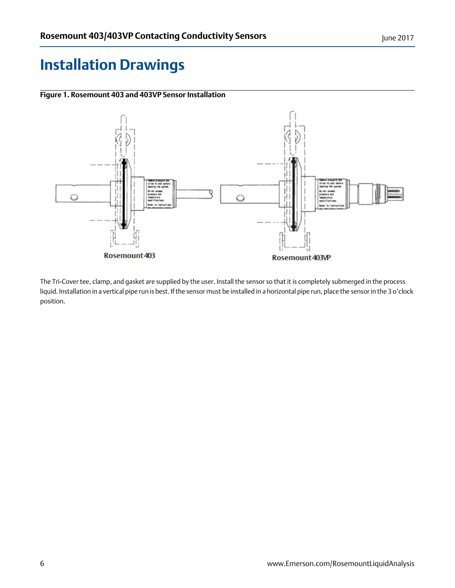## <span id="page-5-0"></span>**Installation Drawings**



**Figure 1. Rosemount 403 and 403VP Sensor Installation**

The Tri-Cover tee, clamp, and gasket are supplied by the user. Install the sensor so that it is completely submerged in the process liquid. Installation in a vertical pipe run is best. If the sensor must be installed in a horizontal pipe run, place the sensor in the 3 o'clock position.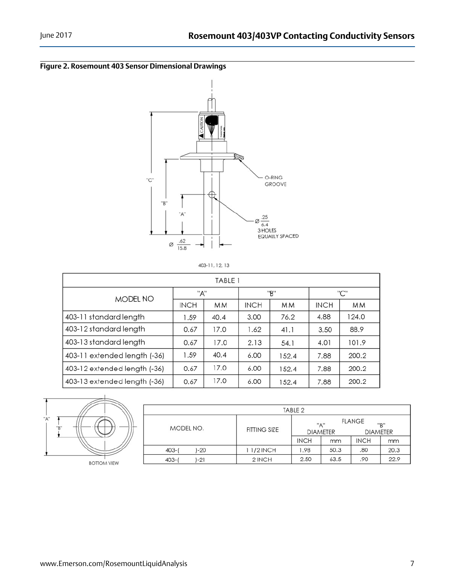



403-11, 12, 13

| TABLE 1                      |             |      |             |           |             |           |
|------------------------------|-------------|------|-------------|-----------|-------------|-----------|
| MODEL NO                     | "A"         |      | "B"         |           | "C"         |           |
|                              | <b>INCH</b> | MМ   | <b>INCH</b> | <b>MM</b> | <b>INCH</b> | <b>MM</b> |
| 403-11 standard length       | 1.59        | 40.4 | 3.00        | 76.2      | 4.88        | 124.0     |
| 403-12 standard length       | 0.67        | 17.0 | 1.62        | 41.1      | 3.50        | 88.9      |
| 403-13 standard length       | 0.67        | 17.0 | 2.13        | 54.1      | 4.01        | 101.9     |
| 403-11 extended length (-36) | 1.59        | 40.4 | 6.00        | 152.4     | 7.88        | 200.2     |
| 403-12 extended length (-36) | 0.67        | 17.0 | 6.00        | 152.4     | 7.88        | 200.2     |
| 403-13 extended length (-36) | 0.67        | 17.0 | 6.00        | 152.4     | 7.88        | 200.2     |



|                     |              | TABLE <sub>2</sub>                                                |      |             |      |
|---------------------|--------------|-------------------------------------------------------------------|------|-------------|------|
| MODEL NO.           | FITTING SIZE | <b>FLANGE</b><br>"А"<br>"R"<br><b>DIAMETER</b><br><b>DIAMETER</b> |      |             |      |
|                     |              | <b>INCH</b>                                                       | mm   | <b>INCH</b> | mm   |
| $403 - ($<br>$-20$  | 1 1/2 INCH   | 1.98                                                              | 50.3 | .80         | 20.3 |
| $ -21$<br>$403 - ($ | 2 INCH       | 2.50                                                              | 63.5 | .90         | 22.9 |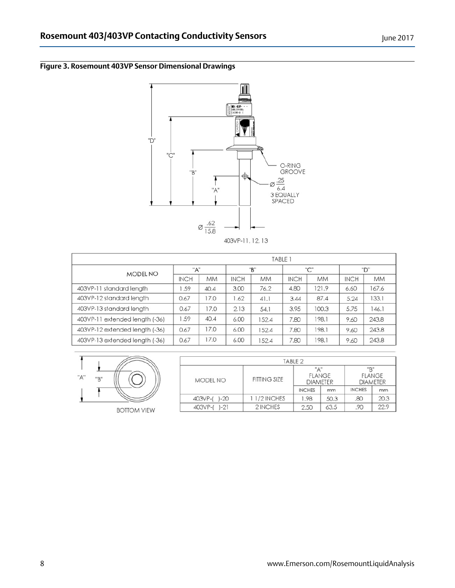## **Figure 3. Rosemount 403VP Sensor Dimensional Drawings**



| TABLE 1                        |             |           |             |           |             |           |             |           |
|--------------------------------|-------------|-----------|-------------|-----------|-------------|-----------|-------------|-----------|
| MODEL NO                       | "A"         |           | "B"         |           | "C"         |           | "D"         |           |
|                                | <b>INCH</b> | <b>MM</b> | <b>INCH</b> | <b>MM</b> | <b>INCH</b> | <b>MM</b> | <b>INCH</b> | <b>MM</b> |
| 403VP-11 standard length       | .59         | 40.4      | 3.00        | 76.2      | 4.80        | 121.9     | 6.60        | 167.6     |
| 403VP-12 standard length       | 0.67        | 17.0      | 1.62        | 41.1      | 3.44        | 87.4      | 5.24        | 133.1     |
| 403VP-13 standard length       | 0.67        | 17.0      | 2.13        | 54.1      | 3.95        | 100.3     | 5.75        | 146.1     |
| 403VP-11 extended length (-36) | 1.59        | 40.4      | 6.00        | 152.4     | 7.80        | 198.1     | 9.60        | 243.8     |
| 403VP-12 extended length (-36) | 0.67        | 17.0      | 6.00        | 152.4     | 7.80        | 198.1     | 9.60        | 243.8     |
| 403VP-13 extended length (-36) | 0.67        | 17.0      | 6.00        | 152.4     | 7.80        | 198.1     | 9.60        | 243.8     |



**BOTTOM VIEW** 

|                     |                     | TABLE 2       |                                  |                                         |      |  |
|---------------------|---------------------|---------------|----------------------------------|-----------------------------------------|------|--|
| MODEL NO            | <b>FITTING SIZE</b> | "д"           | <b>FLANGE</b><br><b>DIAMETER</b> | "R"<br><b>FLANGE</b><br><b>DIAMETER</b> |      |  |
|                     |                     | <b>INCHES</b> | mm                               | <b>INCHES</b>                           | mm   |  |
| $1 - 20$<br>403VP-( | 11/2 INCHES         | 1.98          | 50.3                             | .80                                     | 20.3 |  |
| -21<br>403VP-(      | 2 INCHES            | 2.50          | 63.5                             | .90                                     | 22.9 |  |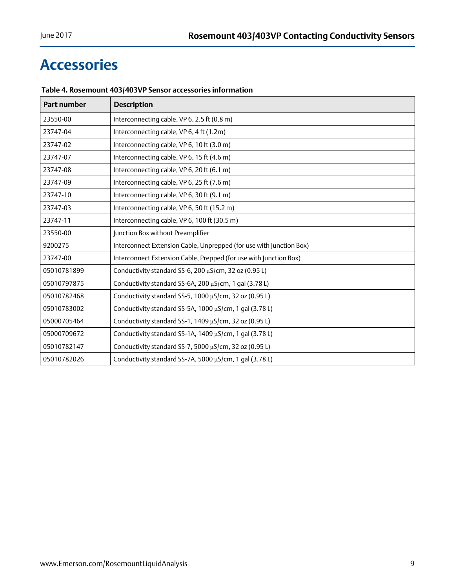## <span id="page-8-0"></span>**Accessories**

| Part number | <b>Description</b>                                                  |
|-------------|---------------------------------------------------------------------|
| 23550-00    | Interconnecting cable, VP 6, 2.5 ft (0.8 m)                         |
| 23747-04    | Interconnecting cable, VP 6, 4 ft (1.2m)                            |
| 23747-02    | Interconnecting cable, VP 6, 10 ft (3.0 m)                          |
| 23747-07    | Interconnecting cable, VP 6, 15 ft (4.6 m)                          |
| 23747-08    | Interconnecting cable, VP 6, 20 ft (6.1 m)                          |
| 23747-09    | Interconnecting cable, VP 6, 25 ft (7.6 m)                          |
| 23747-10    | Interconnecting cable, VP 6, 30 ft (9.1 m)                          |
| 23747-03    | Interconnecting cable, VP 6, 50 ft (15.2 m)                         |
| 23747-11    | Interconnecting cable, VP 6, 100 ft (30.5 m)                        |
| 23550-00    | Junction Box without Preamplifier                                   |
| 9200275     | Interconnect Extension Cable, Unprepped (for use with Junction Box) |
| 23747-00    | Interconnect Extension Cable, Prepped (for use with Junction Box)   |
| 05010781899 | Conductivity standard SS-6, 200 µS/cm, 32 oz (0.95 L)               |
| 05010797875 | Conductivity standard SS-6A, 200 µS/cm, 1 gal (3.78 L)              |
| 05010782468 | Conductivity standard SS-5, 1000 µS/cm, 32 oz (0.95 L)              |
| 05010783002 | Conductivity standard SS-5A, 1000 µS/cm, 1 gal (3.78 L)             |
| 05000705464 | Conductivity standard SS-1, 1409 µS/cm, 32 oz (0.95 L)              |
| 05000709672 | Conductivity standard SS-1A, 1409 µS/cm, 1 gal (3.78 L)             |
| 05010782147 | Conductivity standard SS-7, 5000 µS/cm, 32 oz (0.95 L)              |
| 05010782026 | Conductivity standard SS-7A, 5000 µS/cm, 1 gal (3.78 L)             |

## **Table 4. Rosemount 403/403VP Sensor accessories information**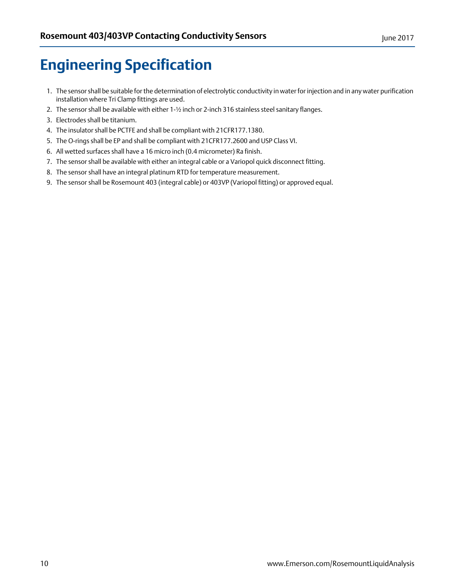## <span id="page-9-0"></span>**Engineering Specification**

- 1. The sensor shall be suitable for the determination of electrolytic conductivity in water for injection and in any water purification installation where Tri Clamp fittings are used.
- 2. The sensor shall be available with either 1-½ inch or 2-inch 316 stainless steel sanitary flanges.
- 3. Electrodes shall be titanium.
- 4. The insulator shall be PCTFE and shall be compliant with 21CFR177.1380.
- 5. The O-rings shall be EP and shall be compliant with 21CFR177.2600 and USP Class VI.
- 6. All wetted surfaces shall have a 16 micro inch (0.4 micrometer) Ra finish.
- 7. The sensor shall be available with either an integral cable or a Variopol quick disconnect fitting.
- 8. The sensor shall have an integral platinum RTD for temperature measurement.
- 9. The sensor shall be Rosemount 403 (integral cable) or 403VP (Variopol fitting) or approved equal.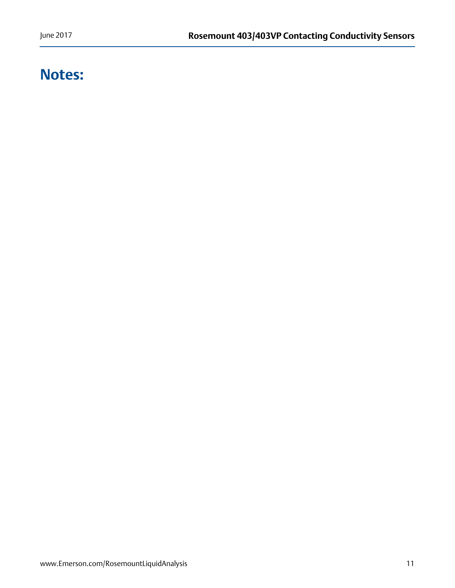## **Notes:**